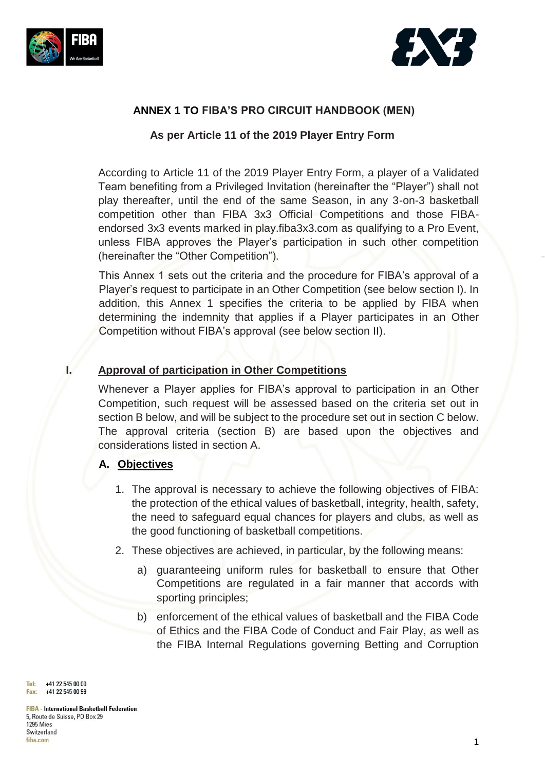



### **ANNEX 1 TO FIBA'S PRO CIRCUIT HANDBOOK (MEN)**

### **As per Article 11 of the 2019 Player Entry Form**

According to Article 11 of the 2019 Player Entry Form, a player of a Validated Team benefiting from a Privileged Invitation (hereinafter the "Player") shall not play thereafter, until the end of the same Season, in any 3-on-3 basketball competition other than FIBA 3x3 Official Competitions and those FIBAendorsed 3x3 events marked in play.fiba3x3.com as qualifying to a Pro Event, unless FIBA approves the Player's participation in such other competition (hereinafter the "Other Competition").

This Annex 1 sets out the criteria and the procedure for FIBA's approval of a Player's request to participate in an Other Competition (see below section I). In addition, this Annex 1 specifies the criteria to be applied by FIBA when determining the indemnity that applies if a Player participates in an Other Competition without FIBA's approval (see below section II).

### **I. Approval of participation in Other Competitions**

Whenever a Player applies for FIBA's approval to participation in an Other Competition, such request will be assessed based on the criteria set out in section B below, and will be subject to the procedure set out in section C below. The approval criteria (section B) are based upon the objectives and considerations listed in section A.

### **A. Objectives**

- 1. The approval is necessary to achieve the following objectives of FIBA: the protection of the ethical values of basketball, integrity, health, safety, the need to safeguard equal chances for players and clubs, as well as the good functioning of basketball competitions.
- 2. These objectives are achieved, in particular, by the following means:
	- a) guaranteeing uniform rules for basketball to ensure that Other Competitions are regulated in a fair manner that accords with sporting principles;
	- b) enforcement of the ethical values of basketball and the FIBA Code of Ethics and the FIBA Code of Conduct and Fair Play, as well as the FIBA Internal Regulations governing Betting and Corruption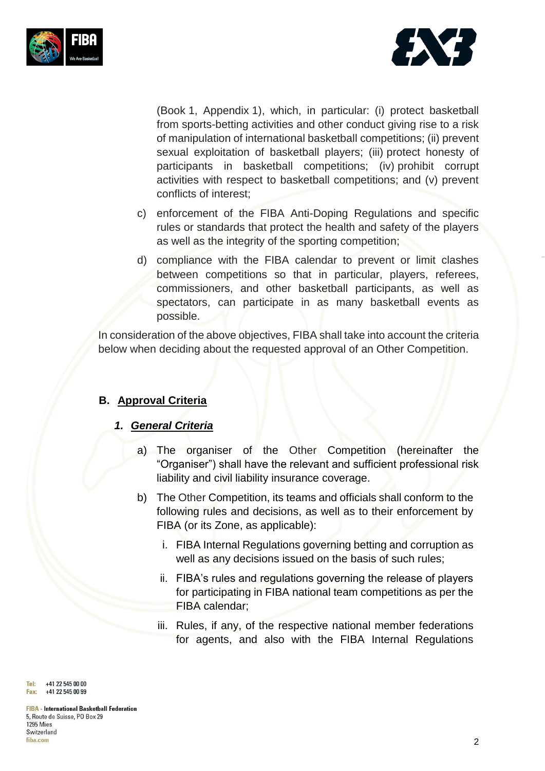



(Book 1, Appendix 1), which, in particular: (i) protect basketball from sports-betting activities and other conduct giving rise to a risk of manipulation of international basketball competitions; (ii) prevent sexual exploitation of basketball players; (iii) protect honesty of participants in basketball competitions; (iv) prohibit corrupt activities with respect to basketball competitions; and (v) prevent conflicts of interest;

- c) enforcement of the FIBA Anti-Doping Regulations and specific rules or standards that protect the health and safety of the players as well as the integrity of the sporting competition;
- d) compliance with the FIBA calendar to prevent or limit clashes between competitions so that in particular, players, referees, commissioners, and other basketball participants, as well as spectators, can participate in as many basketball events as possible.

In consideration of the above objectives, FIBA shall take into account the criteria below when deciding about the requested approval of an Other Competition.

# **B. Approval Criteria**

### *1. General Criteria*

- a) The organiser of the Other Competition (hereinafter the "Organiser") shall have the relevant and sufficient professional risk liability and civil liability insurance coverage.
- b) The Other Competition, its teams and officials shall conform to the following rules and decisions, as well as to their enforcement by FIBA (or its Zone, as applicable):
	- i. FIBA Internal Regulations governing betting and corruption as well as any decisions issued on the basis of such rules;
	- ii. FIBA's rules and regulations governing the release of players for participating in FIBA national team competitions as per the FIBA calendar;
	- iii. Rules, if any, of the respective national member federations for agents, and also with the FIBA Internal Regulations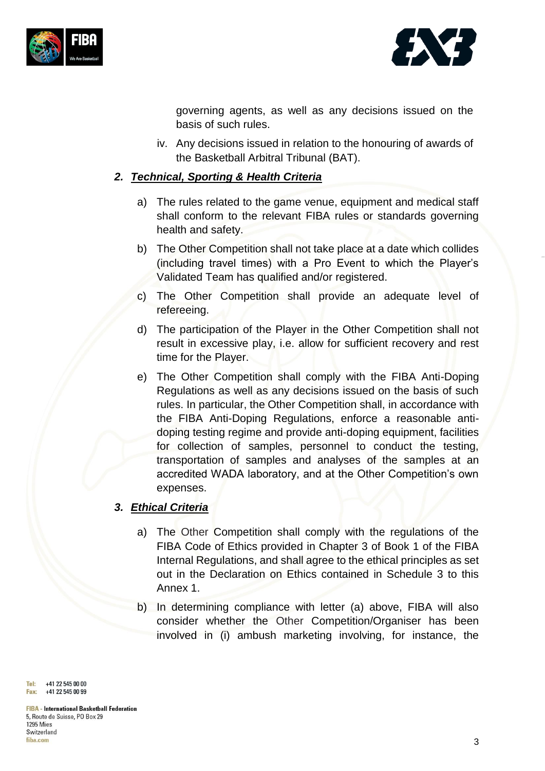



governing agents, as well as any decisions issued on the basis of such rules.

iv. Any decisions issued in relation to the honouring of awards of the Basketball Arbitral Tribunal (BAT).

### *2. Technical, Sporting & Health Criteria*

- a) The rules related to the game venue, equipment and medical staff shall conform to the relevant FIBA rules or standards governing health and safety.
- b) The Other Competition shall not take place at a date which collides (including travel times) with a Pro Event to which the Player's Validated Team has qualified and/or registered.
- c) The Other Competition shall provide an adequate level of refereeing.
- d) The participation of the Player in the Other Competition shall not result in excessive play, i.e. allow for sufficient recovery and rest time for the Player.
- e) The Other Competition shall comply with the FIBA Anti-Doping Regulations as well as any decisions issued on the basis of such rules. In particular, the Other Competition shall, in accordance with the FIBA Anti-Doping Regulations, enforce a reasonable antidoping testing regime and provide anti-doping equipment, facilities for collection of samples, personnel to conduct the testing, transportation of samples and analyses of the samples at an accredited WADA laboratory, and at the Other Competition's own expenses.

# *3. Ethical Criteria*

- a) The Other Competition shall comply with the regulations of the FIBA Code of Ethics provided in Chapter 3 of Book 1 of the FIBA Internal Regulations, and shall agree to the ethical principles as set out in the Declaration on Ethics contained in Schedule 3 to this Annex 1.
- b) In determining compliance with letter (a) above, FIBA will also consider whether the Other Competition/Organiser has been involved in (i) ambush marketing involving, for instance, the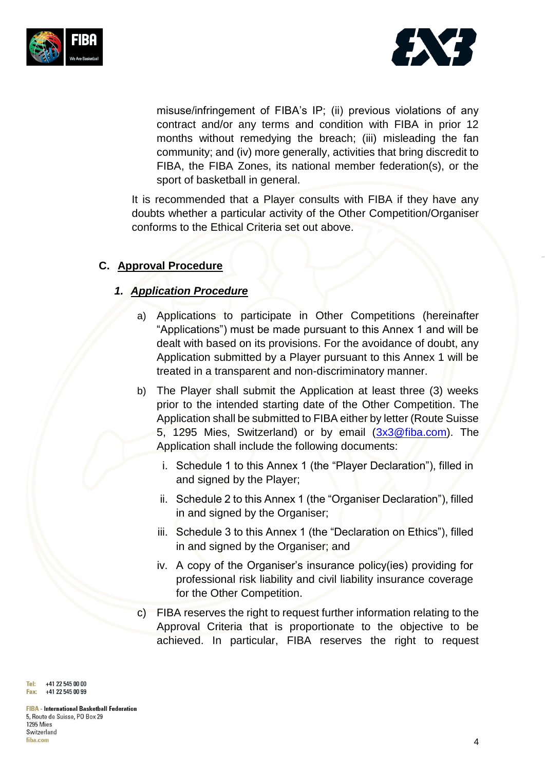



misuse/infringement of FIBA's IP; (ii) previous violations of any contract and/or any terms and condition with FIBA in prior 12 months without remedying the breach; (iii) misleading the fan community; and (iv) more generally, activities that bring discredit to FIBA, the FIBA Zones, its national member federation(s), or the sport of basketball in general.

It is recommended that a Player consults with FIBA if they have any doubts whether a particular activity of the Other Competition/Organiser conforms to the Ethical Criteria set out above.

### **C. Approval Procedure**

#### *1. Application Procedure*

- a) Applications to participate in Other Competitions (hereinafter "Applications") must be made pursuant to this Annex 1 and will be dealt with based on its provisions. For the avoidance of doubt, any Application submitted by a Player pursuant to this Annex 1 will be treated in a transparent and non-discriminatory manner.
- b) The Player shall submit the Application at least three (3) weeks prior to the intended starting date of the Other Competition. The Application shall be submitted to FIBA either by letter (Route Suisse 5, 1295 Mies, Switzerland) or by email [\(3x3@fiba.com\)](mailto:3x3@fiba.com). The Application shall include the following documents:
	- i. Schedule 1 to this Annex 1 (the "Player Declaration"), filled in and signed by the Player;
	- ii. Schedule 2 to this Annex 1 (the "Organiser Declaration"), filled in and signed by the Organiser;
	- iii. Schedule 3 to this Annex 1 (the "Declaration on Ethics"), filled in and signed by the Organiser; and
	- iv. A copy of the Organiser's insurance policy(ies) providing for professional risk liability and civil liability insurance coverage for the Other Competition.
- c) FIBA reserves the right to request further information relating to the Approval Criteria that is proportionate to the objective to be achieved. In particular, FIBA reserves the right to request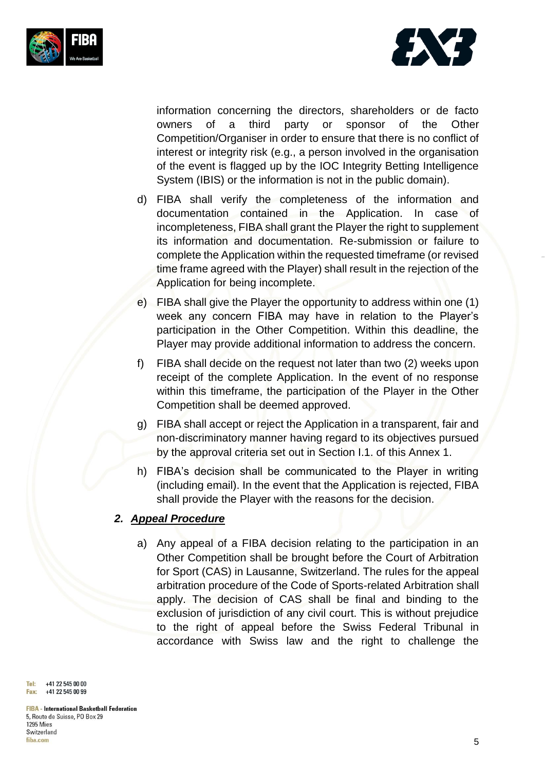



information concerning the directors, shareholders or de facto owners of a third party or sponsor of the Other Competition/Organiser in order to ensure that there is no conflict of interest or integrity risk (e.g., a person involved in the organisation of the event is flagged up by the IOC Integrity Betting Intelligence System (IBIS) or the information is not in the public domain).

- d) FIBA shall verify the completeness of the information and documentation contained in the Application. In case of incompleteness, FIBA shall grant the Player the right to supplement its information and documentation. Re-submission or failure to complete the Application within the requested timeframe (or revised time frame agreed with the Player) shall result in the rejection of the Application for being incomplete.
- e) FIBA shall give the Player the opportunity to address within one (1) week any concern FIBA may have in relation to the Player's participation in the Other Competition. Within this deadline, the Player may provide additional information to address the concern.
- f) FIBA shall decide on the request not later than two (2) weeks upon receipt of the complete Application. In the event of no response within this timeframe, the participation of the Player in the Other Competition shall be deemed approved.
- g) FIBA shall accept or reject the Application in a transparent, fair and non-discriminatory manner having regard to its objectives pursued by the approval criteria set out in Section I.1. of this Annex 1.
- h) FIBA's decision shall be communicated to the Player in writing (including email). In the event that the Application is rejected, FIBA shall provide the Player with the reasons for the decision.

### *2. Appeal Procedure*

a) Any appeal of a FIBA decision relating to the participation in an Other Competition shall be brought before the Court of Arbitration for Sport (CAS) in Lausanne, Switzerland. The rules for the appeal arbitration procedure of the Code of Sports-related Arbitration shall apply. The decision of CAS shall be final and binding to the exclusion of jurisdiction of any civil court. This is without prejudice to the right of appeal before the Swiss Federal Tribunal in accordance with Swiss law and the right to challenge the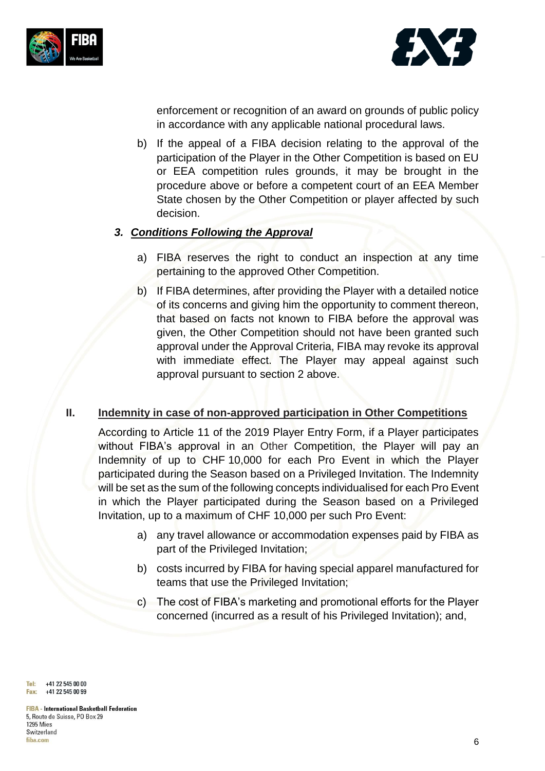



enforcement or recognition of an award on grounds of public policy in accordance with any applicable national procedural laws.

b) If the appeal of a FIBA decision relating to the approval of the participation of the Player in the Other Competition is based on EU or EEA competition rules grounds, it may be brought in the procedure above or before a competent court of an EEA Member State chosen by the Other Competition or player affected by such decision.

### *3. Conditions Following the Approval*

- a) FIBA reserves the right to conduct an inspection at any time pertaining to the approved Other Competition.
- b) If FIBA determines, after providing the Player with a detailed notice of its concerns and giving him the opportunity to comment thereon, that based on facts not known to FIBA before the approval was given, the Other Competition should not have been granted such approval under the Approval Criteria, FIBA may revoke its approval with immediate effect. The Player may appeal against such approval pursuant to section 2 above.

# **II. Indemnity in case of non-approved participation in Other Competitions**

According to Article 11 of the 2019 Player Entry Form, if a Player participates without FIBA's approval in an Other Competition, the Player will pay an Indemnity of up to CHF 10,000 for each Pro Event in which the Player participated during the Season based on a Privileged Invitation. The Indemnity will be set as the sum of the following concepts individualised for each Pro Event in which the Player participated during the Season based on a Privileged Invitation, up to a maximum of CHF 10,000 per such Pro Event:

- a) any travel allowance or accommodation expenses paid by FIBA as part of the Privileged Invitation;
- b) costs incurred by FIBA for having special apparel manufactured for teams that use the Privileged Invitation;
- c) The cost of FIBA's marketing and promotional efforts for the Player concerned (incurred as a result of his Privileged Invitation); and,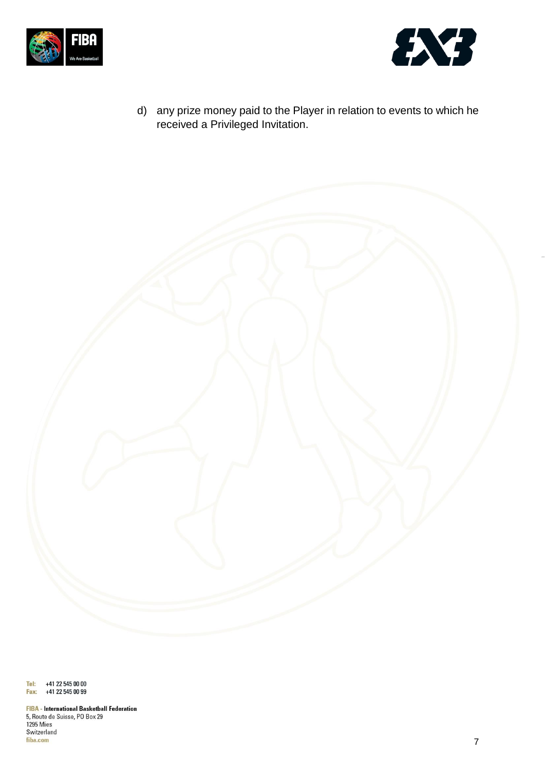



d) any prize money paid to the Player in relation to events to which he received a Privileged Invitation.

Tel: +41 22 545 00 00 Fax: +41 22 545 00 99

**FIBA** - International Basketball Federation 5, Route de Suisse, PO Box 29 1295 Mies Switzerland fiba.com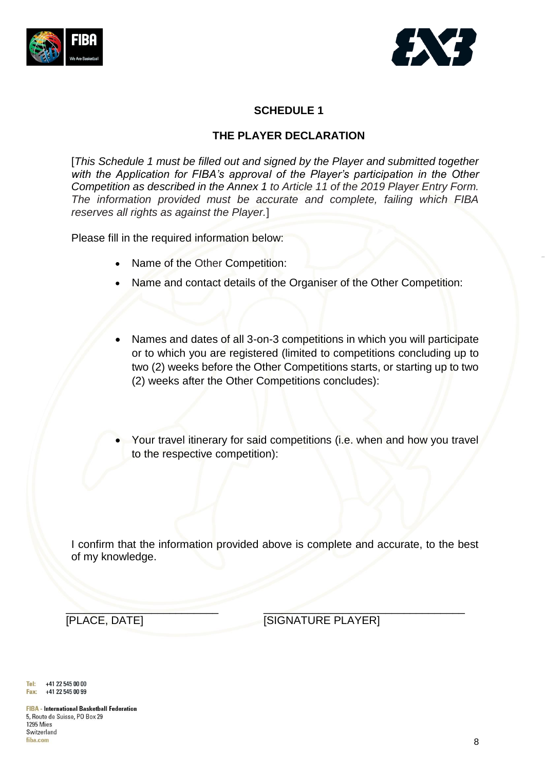



# **SCHEDULE 1**

### **THE PLAYER DECLARATION**

[*This Schedule 1 must be filled out and signed by the Player and submitted together with the Application for FIBA's approval of the Player's participation in the Other Competition as described in the Annex 1 to Article 11 of the 2019 Player Entry Form. The information provided must be accurate and complete, failing which FIBA reserves all rights as against the Player.*]

Please fill in the required information below:

- Name of the Other Competition:
- Name and contact details of the Organiser of the Other Competition:
- Names and dates of all 3-on-3 competitions in which you will participate or to which you are registered (limited to competitions concluding up to two (2) weeks before the Other Competitions starts, or starting up to two (2) weeks after the Other Competitions concludes):
- Your travel itinerary for said competitions (i.e. when and how you travel to the respective competition):

I confirm that the information provided above is complete and accurate, to the best of my knowledge.

 $\mathcal{L}$  , and the set of the set of the set of the set of the set of the set of the set of the set of the set of the set of the set of the set of the set of the set of the set of the set of the set of the set of the set

[PLACE, DATE] [SIGNATURE PLAYER]

Tel: +41 22 545 00 00 +41 22 545 00 99 Fax: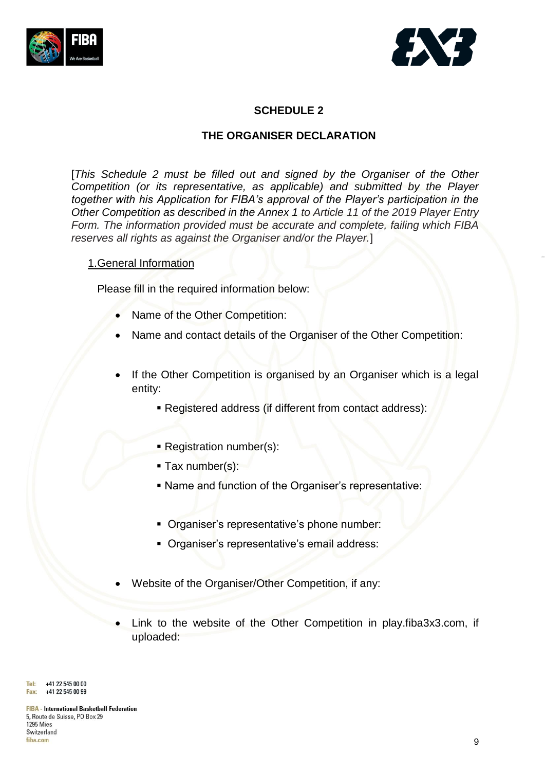



# **SCHEDULE 2**

#### **THE ORGANISER DECLARATION**

[*This Schedule 2 must be filled out and signed by the Organiser of the Other Competition (or its representative, as applicable) and submitted by the Player together with his Application for FIBA's approval of the Player's participation in the Other Competition as described in the Annex 1 to Article 11 of the 2019 Player Entry Form. The information provided must be accurate and complete, failing which FIBA reserves all rights as against the Organiser and/or the Player.*]

#### 1.General Information

Please fill in the required information below:

- Name of the Other Competition:
- Name and contact details of the Organiser of the Other Competition:
- If the Other Competition is organised by an Organiser which is a legal entity:
	- Registered address (if different from contact address):
	- Registration number(s):
	- $\blacksquare$  Tax number(s):
	- Name and function of the Organiser's representative:
	- **Organiser's representative's phone number:**
	- Organiser's representative's email address:
- Website of the Organiser/Other Competition, if any:
- Link to the website of the Other Competition in play.fiba3x3.com, if uploaded: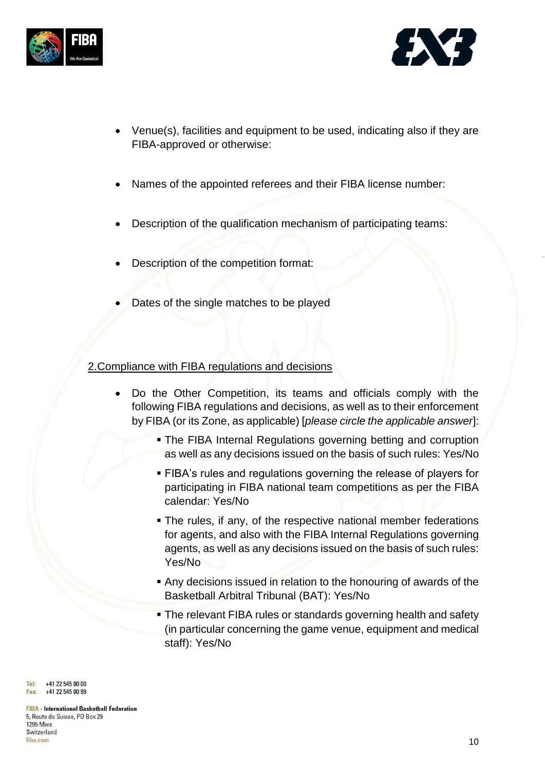



- Venue(s), facilities and equipment to be used, indicating also if they are FIBA-approved or otherwise:
- Names of the appointed referees and their FIBA license number:
- Description of the qualification mechanism of participating teams:
- Description of the competition format:
- Dates of the single matches to be played

### 2.Compliance with FIBA regulations and decisions

- Do the Other Competition, its teams and officials comply with the following FIBA regulations and decisions, as well as to their enforcement by FIBA (or its Zone, as applicable) [*please circle the applicable answer*]:
	- **. The FIBA Internal Regulations governing betting and corruption** as well as any decisions issued on the basis of such rules: Yes/No
	- **EIBA's rules and regulations governing the release of players for** participating in FIBA national team competitions as per the FIBA calendar: Yes/No
	- **The rules, if any, of the respective national member federations** for agents, and also with the FIBA Internal Regulations governing agents, as well as any decisions issued on the basis of such rules: Yes/No
	- Any decisions issued in relation to the honouring of awards of the Basketball Arbitral Tribunal (BAT): Yes/No
	- The relevant FIBA rules or standards governing health and safety (in particular concerning the game venue, equipment and medical staff): Yes/No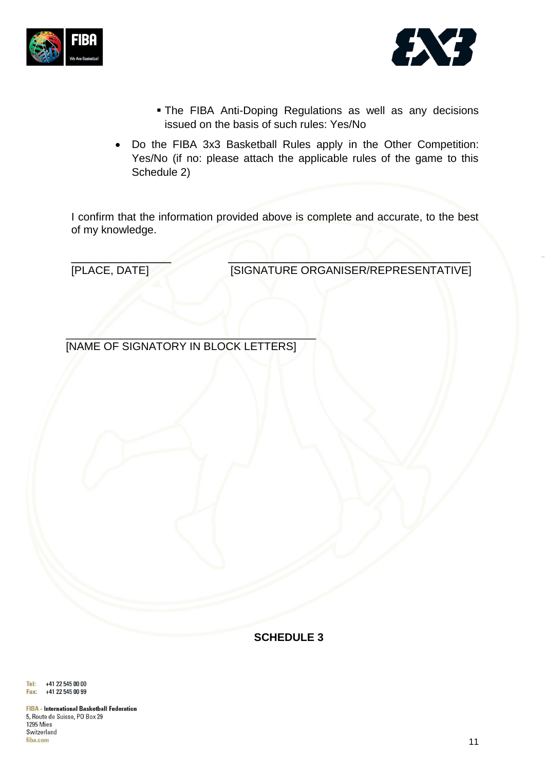



- **The FIBA Anti-Doping Regulations as well as any decisions** issued on the basis of such rules: Yes/No
- Do the FIBA 3x3 Basketball Rules apply in the Other Competition: Yes/No (if no: please attach the applicable rules of the game to this Schedule 2)

I confirm that the information provided above is complete and accurate, to the best of my knowledge.

 $\mathscr{M}$   $\mathscr{N}$   $\mathscr{N}$ [PLACE, DATE] [SIGNATURE ORGANISER/REPRESENTATIVE]

 $\mathcal{L}$ [NAME OF SIGNATORY IN BLOCK LETTERS]

**SCHEDULE 3**

+41 22 545 00 00 Tel: +41 22 545 00 99 Fax:

**FIBA** - International Basketball Federation 5, Route de Suisse, PO Box 29 **1295 Mies** Switzerland fiba.com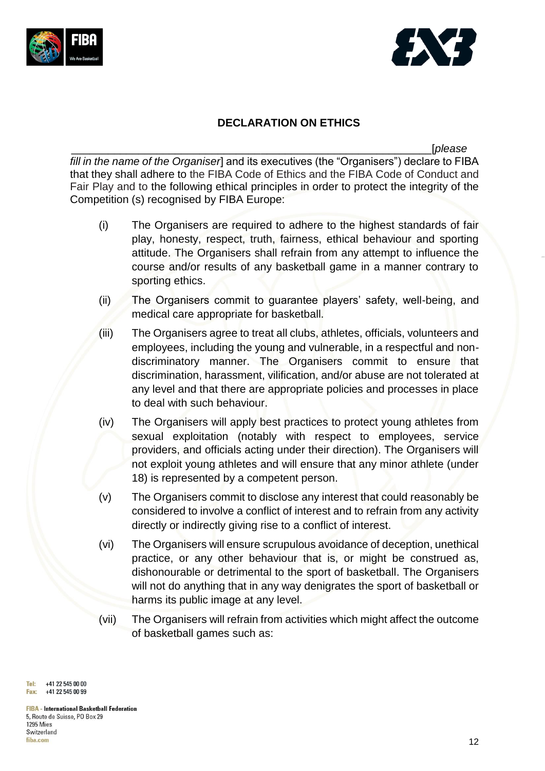



### **DECLARATION ON ETHICS**

\_\_\_\_\_\_\_\_\_\_\_\_\_\_\_\_\_\_\_\_\_\_\_\_\_\_\_\_\_\_\_\_\_\_\_\_\_\_\_\_\_\_\_\_\_\_\_\_\_\_\_\_\_\_\_\_\_\_\_[*please fill in the name of the Organiser*] and its executives (the "Organisers") declare to FIBA that they shall adhere to the FIBA Code of Ethics and the FIBA Code of Conduct and Fair Play and to the following ethical principles in order to protect the integrity of the Competition (s) recognised by FIBA Europe:

- (i) The Organisers are required to adhere to the highest standards of fair play, honesty, respect, truth, fairness, ethical behaviour and sporting attitude. The Organisers shall refrain from any attempt to influence the course and/or results of any basketball game in a manner contrary to sporting ethics.
- (ii) The Organisers commit to guarantee players' safety, well-being, and medical care appropriate for basketball.
- (iii) The Organisers agree to treat all clubs, athletes, officials, volunteers and employees, including the young and vulnerable, in a respectful and nondiscriminatory manner. The Organisers commit to ensure that discrimination, harassment, vilification, and/or abuse are not tolerated at any level and that there are appropriate policies and processes in place to deal with such behaviour.
- (iv) The Organisers will apply best practices to protect young athletes from sexual exploitation (notably with respect to employees, service providers, and officials acting under their direction). The Organisers will not exploit young athletes and will ensure that any minor athlete (under 18) is represented by a competent person.
- (v) The Organisers commit to disclose any interest that could reasonably be considered to involve a conflict of interest and to refrain from any activity directly or indirectly giving rise to a conflict of interest.
- (vi) The Organisers will ensure scrupulous avoidance of deception, unethical practice, or any other behaviour that is, or might be construed as, dishonourable or detrimental to the sport of basketball. The Organisers will not do anything that in any way denigrates the sport of basketball or harms its public image at any level.
- (vii) The Organisers will refrain from activities which might affect the outcome of basketball games such as:

Tel: +41 22 545 00 00 +41 22 545 00 99 Fax: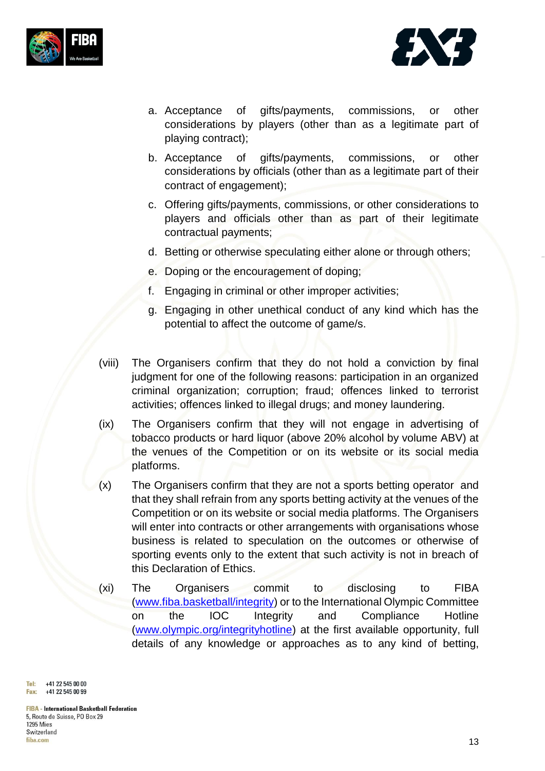



- a. Acceptance of gifts/payments, commissions, or other considerations by players (other than as a legitimate part of playing contract);
- b. Acceptance of gifts/payments, commissions, or other considerations by officials (other than as a legitimate part of their contract of engagement);
- c. Offering gifts/payments, commissions, or other considerations to players and officials other than as part of their legitimate contractual payments;
- d. Betting or otherwise speculating either alone or through others;
- e. Doping or the encouragement of doping;
- f. Engaging in criminal or other improper activities;
- g. Engaging in other unethical conduct of any kind which has the potential to affect the outcome of game/s.
- (viii) The Organisers confirm that they do not hold a conviction by final judgment for one of the following reasons: participation in an organized criminal organization; corruption; fraud; offences linked to terrorist activities; offences linked to illegal drugs; and money laundering.
- (ix) The Organisers confirm that they will not engage in advertising of tobacco products or hard liquor (above 20% alcohol by volume ABV) at the venues of the Competition or on its website or its social media platforms.
- (x) The Organisers confirm that they are not a sports betting operator and that they shall refrain from any sports betting activity at the venues of the Competition or on its website or social media platforms. The Organisers will enter into contracts or other arrangements with organisations whose business is related to speculation on the outcomes or otherwise of sporting events only to the extent that such activity is not in breach of this Declaration of Ethics.
- (xi) The Organisers commit to disclosing to FIBA [\(www.fiba.basketball/integrity\)](http://www.fiba.basketball/integrity) or to the International Olympic Committee on the IOC Integrity and Compliance Hotline [\(www.olympic.org/integrityhotline\)](http://www.olympic.org/integrityhotline) at the first available opportunity, full details of any knowledge or approaches as to any kind of betting,